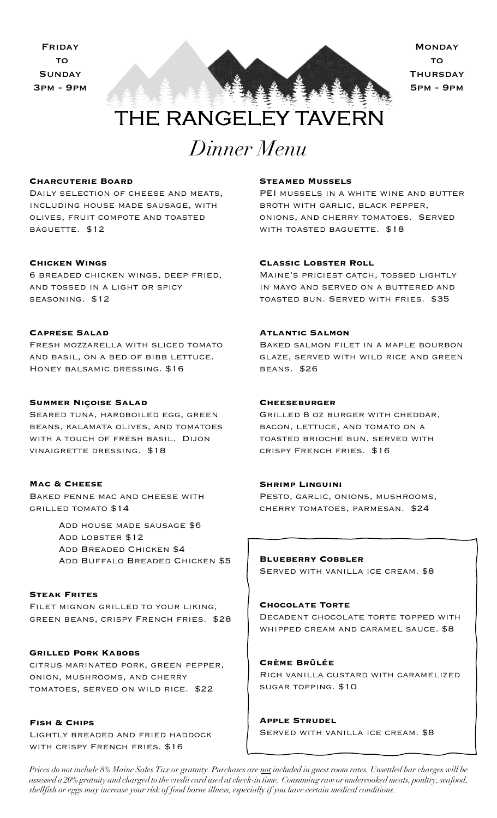

# THE RANGELEY TAVERN

# *Dinner Menu*

#### **Charcuterie Board**

DAILY SELECTION OF CHEESE AND MEATS, including house made sausage, with olives, fruit compote and toasted baguette. \$12

#### **Chicken Wings**

6 breaded chicken wings, deep fried, and tossed in a light or spicy seasoning. \$12

#### **Caprese Salad**

Fresh mozzarella with sliced tomato and basil, on a bed of bibb lettuce. Honey balsamic dressing. \$16

# **Summer Niçoise Salad**

Seared tuna, hardboiled egg, green beans, kalamata olives, and tomatoes with a touch of fresh basil. Dijon vinaigrette dressing. \$18

# **Mac & Cheese**

Baked penne mac and cheese with grilled tomato \$14

> Add house made sausage \$6 Add lobster \$12 Add Breaded Chicken \$4 Add Buffalo Breaded Chicken \$5

#### **Steak Frites**

Filet mignon grilled to your liking, green beans, crispy French fries. \$28

# **Grilled Pork Kabobs**

citrus marinated pork, green pepper, onion, mushrooms, and cherry tomatoes, served on wild rice. \$22

#### **Fish & Chips**

Lightly breaded and fried haddock with crispy French fries. \$16

#### **Steamed Mussels**

PEI MUSSELS IN A WHITE WINE AND BUTTER broth with garlic, black pepper, onions, and cherry tomatoes. Served with toasted baguette. \$18

# **Classic Lobster Roll**

Maine's priciest catch, tossed lightly in mayo and served on a buttered and toasted bun. Served with fries. \$35

#### **Atlantic Salmon**

Baked salmon filet in a maple bourbon glaze, served with wild rice and green beans. \$26

# **Cheeseburger**

Grilled 8 oz burger with cheddar, bacon, lettuce, and tomato on a toasted brioche bun, served with crispy French fries. \$16

#### **Shrimp Linguini**

Ì

Pesto, garlic, onions, mushrooms, cherry tomatoes, parmesan. \$24

**Blueberry Cobbler** Served with vanilla ice cream. \$8

# **Chocolate Torte** Decadent chocolate torte topped with whipped cream and caramel sauce. \$8

**Crème Brûlée** Rich vanilla custard with caramelized sugar topping. \$10

**Apple Strudel** Served with vanilla ice cream. \$8

*Prices do not include 8% Maine Sales Tax or gratuity. Purchases are not included in guest room rates. Unsettled bar charges will be assessed a 20% gratuity and charged to the credit card used at check-in time. Consuming raw or undercooked meats, poultry, seafood, shellfish or eggs may increase your risk of food borne illness, especially if you have certain medical conditions.*